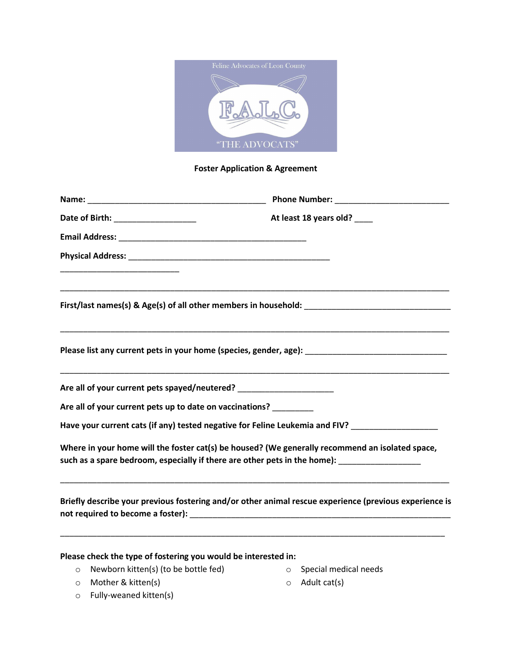

## **Foster Application & Agreement**

| Date of Birth: ____________________                            | At least 18 years old? ____                                                                                                                                                                            |
|----------------------------------------------------------------|--------------------------------------------------------------------------------------------------------------------------------------------------------------------------------------------------------|
|                                                                |                                                                                                                                                                                                        |
|                                                                |                                                                                                                                                                                                        |
|                                                                |                                                                                                                                                                                                        |
|                                                                | First/last names(s) & Age(s) of all other members in household: ___________________________________                                                                                                    |
|                                                                |                                                                                                                                                                                                        |
|                                                                | Please list any current pets in your home (species, gender, age): __________________________________                                                                                                   |
|                                                                | Are all of your current pets spayed/neutered? __________________________________                                                                                                                       |
| Are all of your current pets up to date on vaccinations?       |                                                                                                                                                                                                        |
|                                                                | Have your current cats (if any) tested negative for Feline Leukemia and FIV?                                                                                                                           |
|                                                                | Where in your home will the foster cat(s) be housed? (We generally recommend an isolated space,<br>such as a spare bedroom, especially if there are other pets in the home): _________________________ |
|                                                                | Briefly describe your previous fostering and/or other animal rescue experience (previous experience is                                                                                                 |
| Please check the type of fostering you would be interested in: |                                                                                                                                                                                                        |

- o Newborn kitten(s) (to be bottle fed)
- o Special medical needs

o Mother & kitten(s)

o Adult cat(s)

o Fully-weaned kitten(s)